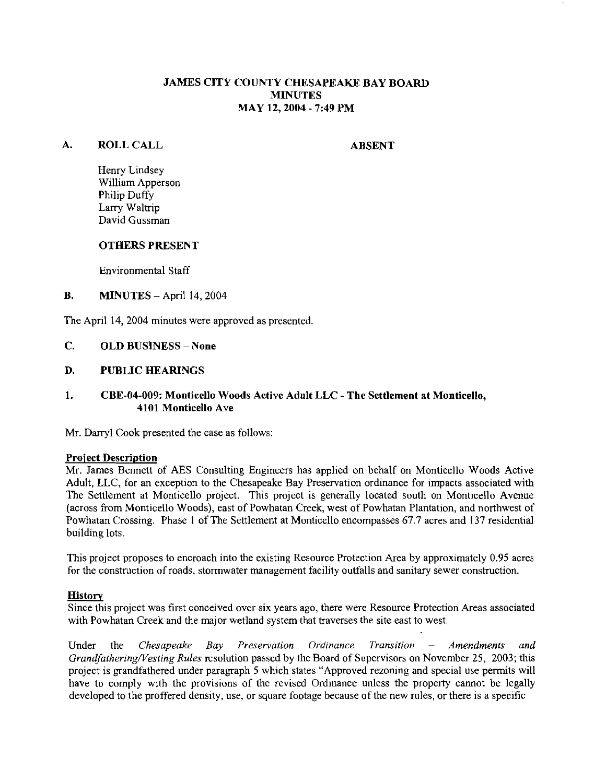# JAMES CITY COUNTY CHESAPEAKE BAY BOARD **MINUTES** MAY 12,2004 - 7:49 PM

#### **A.** ROLL CALL

ABSENT

Henry Lindsey William Apperson Philip Duffy Larry Waltrip David Gussman

#### OTHERS PRESENT

Environmental Staff

# **B. MINUTES** - April 14, 2004

The April 14, 2004 minutes were approved as presented.

# C. OLD BUSINESS - None

#### D. PUBLIC HEARINGS

# **1.** CBE-04-009: Monticello Woods Active Adult LLC - The Settlement at Monticello, 4101 Monticello Ave

Mr. Darryl Cook presented the case as follows:

#### Proiect Description

Mr. James Bennett of AES Consulting Engineers has applied on behalf on Monticello Woods Active Adult, LLC, for an exception to the Chesapeake Bay Preservation ordinance for impacts associated with ?'he Settlement at Monticello project. This project is generally located south on Monticello Avenue (across from Monticello Woods), east of Powhatan Creek, west of Powhatan Plantation, and northwest of Powhatan Crossing. Phase 1 of The Settlement at Monticello encompasses 67.7 acres and 137 residential building lots.

This project proposes to encroach into the existing Resource Protection Area by approximately 0.95 acres for the construction of roads, stormwater management facility outfalls and sanitary sewer construction.

#### **History**

Since this project was first conceived over six years ago, there were Resource Protection Areas associated with powhatan Creek and the major wetland system that traverses the site east to west.

Under the *Chesapeake Bay Preservation Ordinance Transition – Amendments and Grandfathering/Vesting Rules* resolution passed by the Board of Supervisors on November 25, 2003; this project is grandfathered under paragraph 5 which states "Approved rezoning and special use permits will have to comply with the provisions of the revised Ordinance unless the property cannot be legally developed to the proffered density, use. or square footage because of the new rules, or there is a specific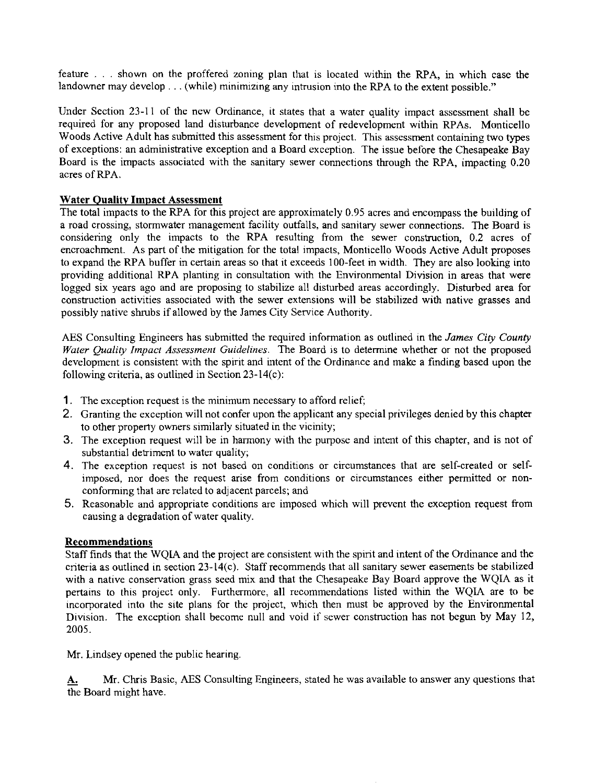feature . . . shown on the proffered zoning plan that is located within the WA, in which case the landowner may develop  $\dots$  (while) minimizing any intrusion into the RPA to the extent possible."

Under Section 23-11 of the new Ordinance, it states that a water quality impact assessment shall be required for any proposed land disturbance development of redevelopment within RPAs. Monticello Woods Active Adult has submitted this assessment for this project. This assessment containing two types of exceptions: an administrative exception and a Board exception. The issue before the Chesapeake Bay Board is the impacts associated with the sanitary sewer connections through the RPA, impacting 0.20 acres of RPA.

# Water Quality Impact Assessment

The total impacts to the RPA for this project are approximately 0.95 acres and encompass the building of a road crossing, stormwater management facility outfalls, and sanitary sewer connections. The Board is considering only the impacts to the RPA resulting from the sewer construction, 0.2 acres of encroachment. As part of the mitigation for the total impacts, Monticello Woods Active Adult proposes to expand the RPA buffer in certain areas so that it exceeds 100-feet in width. They are also looking into providing additional RPA planting in consultation with the Environmental Division in areas that were logged six years ago and are proposing to stabilize all disturbed areas accordingly. Disturbed area for construction activities associated with the sewer extensions will be stabilized with native grasses and possibly native shrubs if allowed by the James City Service Authority.

AES Consulting Engineers has submitted the required information as outlined in the **James City County**  *Water Quality Impact Assessment Guidelines.* The Board is to determine whether or not the proposed development is consistent with the spirit and intent of the Ordinance and make a finding based upon the following criteria, as outlined in Section 23-14(c):

- **1.** The exception request is the minimum necessary to afford relief;
- 2. Granting the exception will not confer upon the applicant any special privileges denied by this chapter to other property owners similarly situated in the vicinity;
- 3. The exception request will be in harmony with the purpose and intent of this chapter, and is not of substantial detriment to water quality;
- 4. The exception request is not based on conditions or circumstances that are self-created or selfimposed, nor does the request arise from conditions or circumstances either permitted or nonconforming that are related to adjacent parcels; and
- 5. Reasonable and appropriate conditions are imposed which will prevent the exception request from causing a degradation of water quality.

# Recommendations

Staff finds that the WQIA and the project are consistent with the spirit and intent of the Ordinance and the criteria as outlined in section 23-14(c). Staff recommends that all sanitary sewer easements be stabilized with a native conservation grass seed mix and that the Chesapeake Bay Board approve the WQIA as it pertains to this project only. Furthermore, all recommendations listed within the WQIA are to be incorporated into the site plans for the project, which then must be approved by the Environmental Division. The exception shall become null and void if sewer construction has not begun by May 12, 2005.

Mr. Lindsey opened the public hearing.

A. Mr. Chris Basic, AES Consulting Engineers, stated he was available to answer any questions that the Board might have.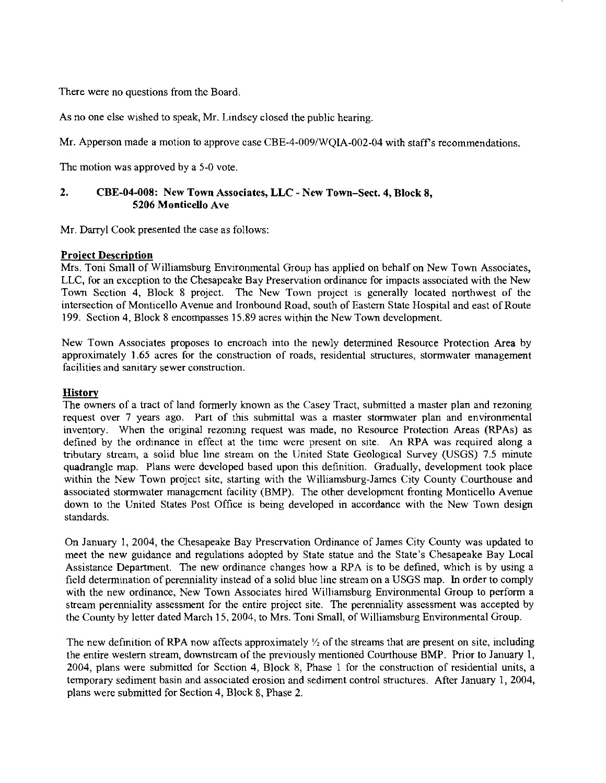There were no questions from the Board

As no one else wished to speak, Mr. Lindsey closed the public hearing

Mr. Apperson made a motion to approve case CBE-4-009/WOIA-002-04 with staff's recommendations.

The motion was approved by a 5-0 vote.

# **2. CBE-04-008: New Town Associates, LLC** - **New Town-Sect. 4, Block 8, 5206 Monticello Ave**

Mr. Darryl Cook presented the case as follows:

#### **Proiect Description**

Mrs. Toni Small of Williamsburg Environmental Group has applied on behalf on New Town Associates, LLC, for an exception to the Chesapeake Bay Preservation ordinance for impacts associated with the New Town Section 4, Block 8 project. The New Town project is generally located northwest of the intersection of Monticello Avenue and Ironbound Road, south of Eastern State Hospital and east of Route 199. Section 4. Block 8 encompasses 15.89 acres within the New Town development.

New Town Associates proposes to encroach into the newly determined Resource Protection Area by approximately 1.65 acres for the construction of roads, residential structures, stormwater management facilities and sanitary sewer construction.

#### **History**

The owners of a tract of land formerly known as the Casey Tract, submitted a master plan and rezoning request over 7 years ago. Part of this submittal was a master stormwater plan and environmental inventory. When the original rezoning request was made, no Resource Protection Areas (RPAs) as defined by the ordinance in effect at the time were present on site. An RPA was required along a tributary stream, a solid blue line stream on the United State Geological Survey (USGS) 7.5 minute quadrangle map. Plans were developed based upon this definition. Gradually, development took place within the New Town project site, starting with the Williamsburg-James City County Courthouse and associated stormwater management facility (BMP). The other development fronting Monticello Avenue down to the United States Post Office is being developed in accordance with the New Town design standards.

On January 1, 2004, the Chesapeake Bay Preservation Ordinance of James City County was updated to meet the new guidance and regulations adopted by State statue and the State's Chesapeake Bay Local Assistance Department. The new ordinance changes how a RPA is to be defined, which is by using a field determination of perenniality instead of a solid blue line stream on a USGS map. In order to comply with the new ordinance, New Town Associates hired Williamsburg Environmental Group to perform a stream perenniality assessment for the entire project site. The perenniality assessment was accepted by the County by letter dated March 15.2004, to Mrs. Toni Small, of Williamsburg Environmental Group.

The new definition of RPA now affects approximately  $\frac{1}{2}$  of the streams that are present on site, including the entire western stream, downstream of the previously mentioned Courthouse BMP. Prior to January 1, 2004, plans were submitted for Section 4, Block 8, Phase 1 for the construction of residential units, a temporary sediment basin and associated erosion and sediment control structures. After January 1, 2004, plans were submitted for Section 4, Block 8, Phase 2.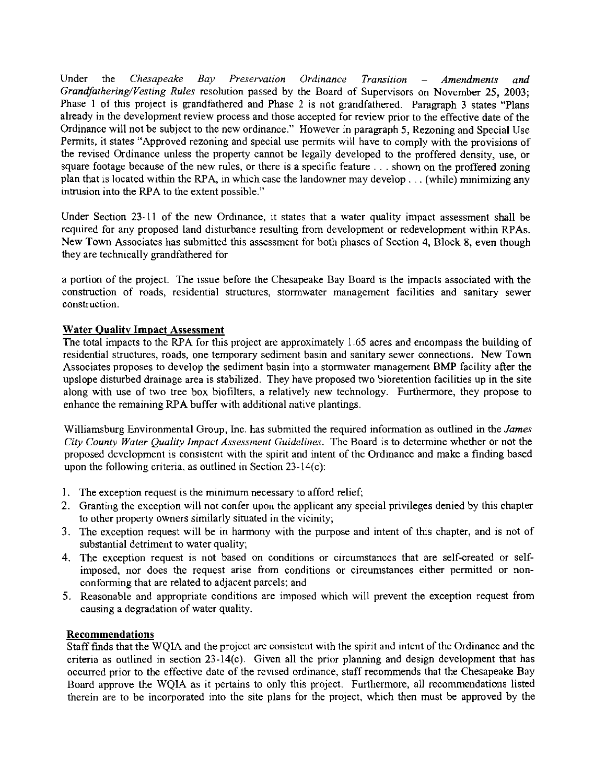Under the *Chesapeake Bay Preservation Ordinance Transition – Amendments and Grandfathering/Vesting Rules* resolution passed by the Board of Supervisors on November 25, 2003; Phase 1 of this project is grandfathered and Phase 2 is not grandfathered. Paragraph 3 states "Plans already in the development review process and those accepted for review prior to the effective date of the Ordinance will not be subject to the new ordinance." However in paragraph 5, Rezoning and Special Use Permits, it states "Approved rezoning and special use pernits will have to comply with the provisions of the revised Ordinance unless the property cannot be legally developed to the proffered density, use, or square footage because of the new rules, or there is a specific feature . . . shown on the proffered zoning plan that is located within the RPA, in which case the landowner may develop . . . (while) minimizing any intrusion into the RPA to the extent possible."

Under Section 23-11 of the new Ordinance, it states that a water quality impact assessment shall be required for any proposed land disturbance resulting from development or redevelopment within RPAs. New Town Associates has submitted this assessment for both phases of Section 4, Block 8, even though they are technically grandfathered for

a portion of the project. The issue before the Chesapeake Bay Board is the impacts associated with the construction of roads, residential structures, stormwater management facilities and sanitary sewer construction.

# Water Quality Impact Assessment

The total impacts to the RPA for this project are approximately 1.65 acres and encompass the building of residential structures, roads, one temporary sediment basin and sanitary sewer connections. New Town Associates proposes to develop the sediment basin into a stormwater management BMP facility after the upslope disturbed drainage area is stabilized. They have proposed two bioretention facilities up in the site along with use of two tree box biofilters, a relatively new technology. Furthermore, they propose to enhance the remaining RPA buffer with additional native plantings.

Williamsburg Environmental Group, Inc. has submitted the required information as outlined in the *James City County Water Quality Irnpacl Assessment Guidelines.* The Board is to determine whether or not the proposed development is consistent with the spirit and intent of the Ordinance and make a finding based upon the following criteria, as outlined in Section 23-14(c):

- 1. The exception request is the minimum necessary to afford relief;
- 2. Granting the exception will not confer upon the applicant any special privileges denied by this chapter to other property owners similarly situated in the vicinity;
- **3.** The exception request will be in harmony with the purpose and intent of this chapter, and is not of substantial detriment to water quality;
- 4. The exception request is not based on conditions or circumstances that are self-created or selfimposed, nor does the request arise from conditions or circumstances either permitted or nonconforming that are related to adjacent parcels; and
- 5. Reasonable and appropriate conditions are imposed which will prevent the exception request from causing a degradation of water quality.

# Recommendations

Staff finds that the WQIA and the project are consistent with the spirit and intent of the Ordinance and the criteria as outlined in section  $23-14(c)$ . Given all the prior planning and design development that has occurred prior to the effective date of the revised ordinance, staff recommends that the Chesapeake Bay Board approve the WQIA as it pertains to only this project. Furthermore, all recommendations listed therein are to be incorporated into the site plans for the project, which then must be approved by the